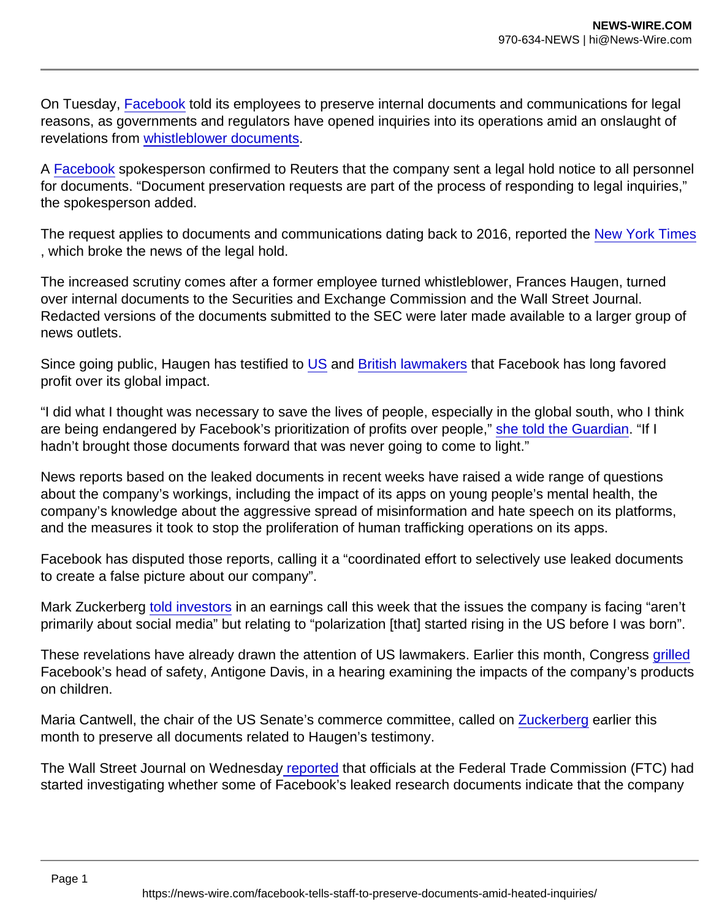On Tuesday, [Facebook](https://www.theguardian.com/technology/facebook) told its employees to preserve internal documents and communications for legal reasons, as governments and regulators have opened inquiries into its operations amid an onslaught of revelations from [whistleblower documents.](https://www.theguardian.com/technology/2021/oct/25/facebook-revelations-from-misinformation-to-mental-health)

A [Facebook](https://www.theguardian.com/technology/facebook) spokesperson confirmed to Reuters that the company sent a legal hold notice to all personnel for documents. "Document preservation requests are part of the process of responding to legal inquiries," the spokesperson added.

The request applies to documents and communications dating back to 2016, reported the [New York Times](https://www.nytimes.com/2021/10/27/technology/facebook-legal-communications.html) , which broke the news of the legal hold.

The increased scrutiny comes after a former employee turned whistleblower, Frances Haugen, turned over internal documents to the Securities and Exchange Commission and the Wall Street Journal. Redacted versions of the documents submitted to the SEC were later made available to a larger group of news outlets.

Since going public, Haugen has testified to [US](https://www.theguardian.com/technology/live/2021/oct/05/facebook-hearing-whistleblower-frances-haugen-testifies-us-senate-latest-news) and [British lawmakers](https://www.theguardian.com/technology/2021/oct/25/facebook-whistleblower-frances-haugen-calls-for-urgent-external-regulation) that Facebook has long favored profit over its global impact.

"I did what I thought was necessary to save the lives of people, especially in the global south, who I think are being endangered by Facebook's prioritization of profits over people," [she told the Guardian.](https://www.theguardian.com/technology/2021/oct/24/frances-haugen-i-never-wanted-to-be-a-whistleblower-but-lives-were-in-danger) "If I hadn't brought those documents forward that was never going to come to light."

News reports based on the leaked documents in recent weeks have raised a wide range of questions about the company's workings, including the impact of its apps on young people's mental health, the company's knowledge about the aggressive spread of misinformation and hate speech on its platforms, and the measures it took to stop the proliferation of human trafficking operations on its apps.

Facebook has disputed those reports, calling it a "coordinated effort to selectively use leaked documents to create a false picture about our company".

Mark Zuckerberg [told investors](https://www.theguardian.com/technology/2021/oct/25/facebook-profits-earnings-report-latest) in an earnings call this week that the issues the company is facing "aren't primarily about social media" but relating to "polarization [that] started rising in the US before I was born".

These revelations have already drawn the attention of US lawmakers. Earlier this month, Congress [grilled](https://www.theguardian.com/technology/2021/sep/30/facebook-hearing-testimony-instagram-impact) Facebook's head of safety, Antigone Davis, in a hearing examining the impacts of the company's products on children.

Maria Cantwell, the chair of the US Senate's commerce committee, called on [Zuckerberg](https://www.theguardian.com/technology/mark-zuckerberg) earlier this month to preserve all documents related to Haugen's testimony.

The Wall Street Journal on Wednesday [reported](https://www.wsj.com/articles/facebook-ftc-privacy-kids-11635289993?AID=11557093&PID=6415797&SID=bi|61791fe7ce05e51b00752f93|1635377267004&subid=Business+Insider&cjevent=87733044377d11ec839d618a0a82b82a&tier_1=affiliate&tier_2=moa&tier_3=Business+Insider&tier_4=3861930&tier_5=https://www.wsj.com/articles/facebook-ftc-privacy-kids-11635289993) that officials at the Federal Trade Commission (FTC) had started investigating whether some of Facebook's leaked research documents indicate that the company